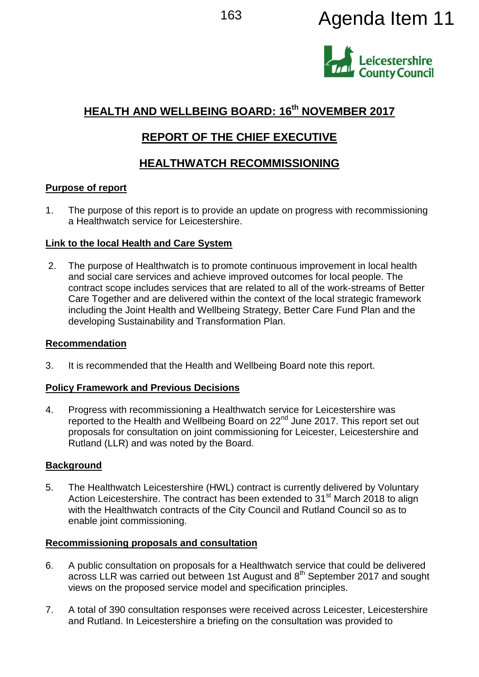# 163 **Agenda Item 11**



# **HEALTH AND WELLBEING BOARD: 16th NOVEMBER 2017**

# **REPORT OF THE CHIEF EXECUTIVE**

# **HEALTHWATCH RECOMMISSIONING**

# **Purpose of report**

1. The purpose of this report is to provide an update on progress with recommissioning a Healthwatch service for Leicestershire.

# **Link to the local Health and Care System**

2. The purpose of Healthwatch is to promote continuous improvement in local health and social care services and achieve improved outcomes for local people. The contract scope includes services that are related to all of the work-streams of Better Care Together and are delivered within the context of the local strategic framework including the Joint Health and Wellbeing Strategy, Better Care Fund Plan and the developing Sustainability and Transformation Plan.

# **Recommendation**

3. It is recommended that the Health and Wellbeing Board note this report.

# **Policy Framework and Previous Decisions**

4. Progress with recommissioning a Healthwatch service for Leicestershire was reported to the Health and Wellbeing Board on 22<sup>nd</sup> June 2017. This report set out proposals for consultation on joint commissioning for Leicester, Leicestershire and Rutland (LLR) and was noted by the Board.

# **Background**

5. The Healthwatch Leicestershire (HWL) contract is currently delivered by Voluntary Action Leicestershire. The contract has been extended to 31<sup>st</sup> March 2018 to align with the Healthwatch contracts of the City Council and Rutland Council so as to enable joint commissioning.

# **Recommissioning proposals and consultation**

- 6. A public consultation on proposals for a Healthwatch service that could be delivered across LLR was carried out between 1st August and 8<sup>th</sup> September 2017 and sought views on the proposed service model and specification principles.
- 7. A total of 390 consultation responses were received across Leicester, Leicestershire and Rutland. In Leicestershire a briefing on the consultation was provided to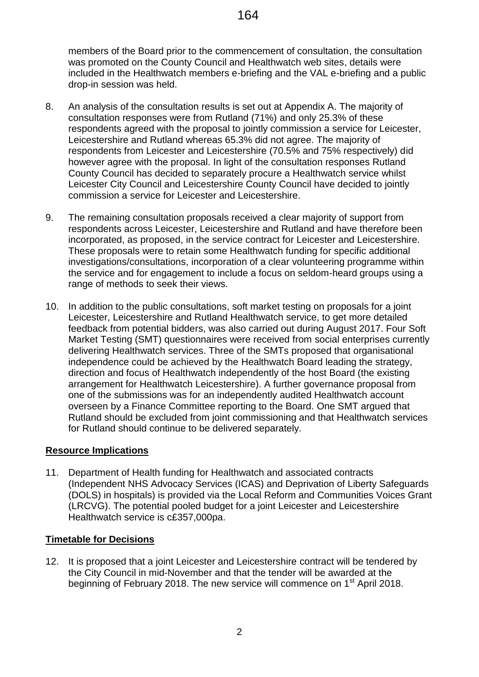members of the Board prior to the commencement of consultation, the consultation was promoted on the County Council and Healthwatch web sites, details were included in the Healthwatch members e-briefing and the VAL e-briefing and a public drop-in session was held.

- 8. An analysis of the consultation results is set out at Appendix A. The majority of consultation responses were from Rutland (71%) and only 25.3% of these respondents agreed with the proposal to jointly commission a service for Leicester, Leicestershire and Rutland whereas 65.3% did not agree. The majority of respondents from Leicester and Leicestershire (70.5% and 75% respectively) did however agree with the proposal. In light of the consultation responses Rutland County Council has decided to separately procure a Healthwatch service whilst Leicester City Council and Leicestershire County Council have decided to jointly commission a service for Leicester and Leicestershire.
- 9. The remaining consultation proposals received a clear majority of support from respondents across Leicester, Leicestershire and Rutland and have therefore been incorporated, as proposed, in the service contract for Leicester and Leicestershire. These proposals were to retain some Healthwatch funding for specific additional investigations/consultations, incorporation of a clear volunteering programme within the service and for engagement to include a focus on seldom-heard groups using a range of methods to seek their views.
- 10. In addition to the public consultations, soft market testing on proposals for a joint Leicester, Leicestershire and Rutland Healthwatch service, to get more detailed feedback from potential bidders, was also carried out during August 2017. Four Soft Market Testing (SMT) questionnaires were received from social enterprises currently delivering Healthwatch services. Three of the SMTs proposed that organisational independence could be achieved by the Healthwatch Board leading the strategy, direction and focus of Healthwatch independently of the host Board (the existing arrangement for Healthwatch Leicestershire). A further governance proposal from one of the submissions was for an independently audited Healthwatch account overseen by a Finance Committee reporting to the Board. One SMT argued that Rutland should be excluded from joint commissioning and that Healthwatch services for Rutland should continue to be delivered separately.

# **Resource Implications**

11. Department of Health funding for Healthwatch and associated contracts (Independent NHS Advocacy Services (ICAS) and Deprivation of Liberty Safeguards (DOLS) in hospitals) is provided via the Local Reform and Communities Voices Grant (LRCVG). The potential pooled budget for a joint Leicester and Leicestershire Healthwatch service is c£357,000pa.

#### **Timetable for Decisions**

12. It is proposed that a joint Leicester and Leicestershire contract will be tendered by the City Council in mid-November and that the tender will be awarded at the beginning of February 2018. The new service will commence on 1<sup>st</sup> April 2018.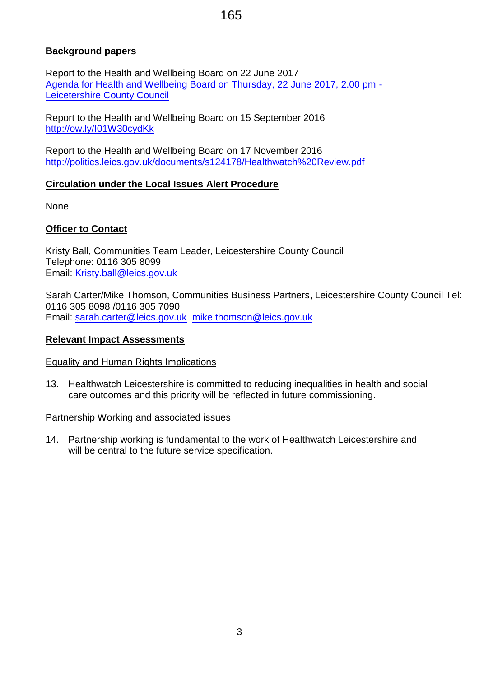# 165

### **Background papers**

Report to the Health and Wellbeing Board on 22 June 2017 [Agenda for Health and Wellbeing Board on Thursday, 22 June 2017, 2.00 pm -](http://politics.leics.gov.uk/ieListDocuments.aspx?CId=1038&MId=5124&Ver=4) [Leicetershire County Council](http://politics.leics.gov.uk/ieListDocuments.aspx?CId=1038&MId=5124&Ver=4)

Report to the Health and Wellbeing Board on 15 September 2016 <http://ow.ly/I01W30cydKk>

Report to the Health and Wellbeing Board on 17 November 2016 <http://politics.leics.gov.uk/documents/s124178/Healthwatch%20Review.pdf>

#### **Circulation under the Local Issues Alert Procedure**

None

#### **Officer to Contact**

Kristy Ball, Communities Team Leader, Leicestershire County Council Telephone: 0116 305 8099 Email: [Kristy.ball@leics.gov.uk](mailto:Kristy.ball@leics.gov.uk)

Sarah Carter/Mike Thomson, Communities Business Partners, Leicestershire County Council Tel: 0116 305 8098 /0116 305 7090 Email: [sarah.carter@leics.gov.uk](mailto:sarah.carter@leics.gov.uk) [mike.thomson@leics.gov.uk](mailto:mike.thomson@leics.gov.uk)

#### **Relevant Impact Assessments**

#### Equality and Human Rights Implications

13. Healthwatch Leicestershire is committed to reducing inequalities in health and social care outcomes and this priority will be reflected in future commissioning.

#### Partnership Working and associated issues

14. Partnership working is fundamental to the work of Healthwatch Leicestershire and will be central to the future service specification.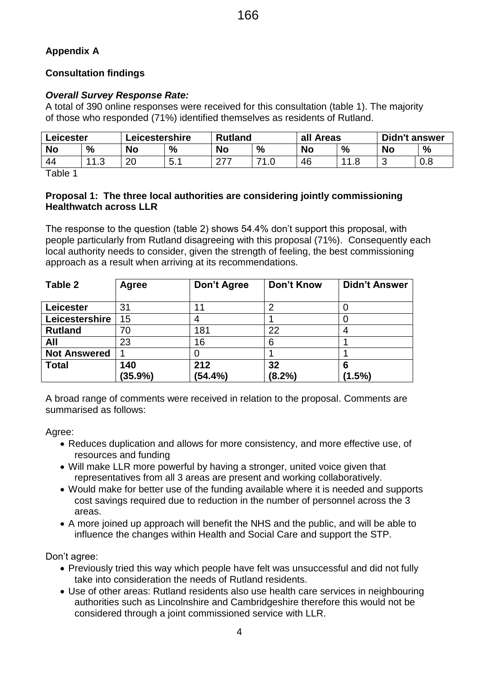# **Appendix A**

# **Consultation findings**

# *Overall Survey Response Rate:*

A total of 390 online responses were received for this consultation (table 1). The majority of those who responded (71%) identified themselves as residents of Rutland.

| Leicester |           | Leicestershire |               | <b>Rutland</b> |      | all Areas |   | <b>Didn't answer</b> |               |
|-----------|-----------|----------------|---------------|----------------|------|-----------|---|----------------------|---------------|
| <b>No</b> | %         | <b>No</b>      | $\frac{0}{0}$ | No             | $\%$ | <b>No</b> | % | <b>No</b>            | $\frac{0}{0}$ |
| 44        | 112<br>ن. | റ്റ<br>∠∪      | ᄃ<br>ັບ. ⊢    | 277            | 74   | 46        |   | ∽<br>ັ               | 0.8           |

Table 1

### **Proposal 1: The three local authorities are considering jointly commissioning Healthwatch across LLR**

The response to the question (table 2) shows 54.4% don't support this proposal, with people particularly from Rutland disagreeing with this proposal (71%). Consequently each local authority needs to consider, given the strength of feeling, the best commissioning approach as a result when arriving at its recommendations.

| Table 2             | Agree   | Don't Agree | Don't Know | <b>Didn't Answer</b> |
|---------------------|---------|-------------|------------|----------------------|
|                     |         |             |            |                      |
| Leicester           | 31      |             | ⌒          |                      |
| Leicestershire      | 15      |             |            |                      |
| <b>Rutland</b>      | 70      | 181         | 22         |                      |
| All                 | 23      | 16          | 6          |                      |
| <b>Not Answered</b> |         |             |            |                      |
| <b>Total</b>        | 140     | 212         | 32         |                      |
|                     | (35.9%) | (54.4%)     | (8.2%)     | $(1.5\%)$            |

A broad range of comments were received in relation to the proposal. Comments are summarised as follows:

Agree:

- Reduces duplication and allows for more consistency, and more effective use, of resources and funding
- Will make LLR more powerful by having a stronger, united voice given that representatives from all 3 areas are present and working collaboratively.
- Would make for better use of the funding available where it is needed and supports cost savings required due to reduction in the number of personnel across the 3 areas.
- A more joined up approach will benefit the NHS and the public, and will be able to influence the changes within Health and Social Care and support the STP.

Don't agree:

- Previously tried this way which people have felt was unsuccessful and did not fully take into consideration the needs of Rutland residents.
- Use of other areas: Rutland residents also use health care services in neighbouring authorities such as Lincolnshire and Cambridgeshire therefore this would not be considered through a joint commissioned service with LLR.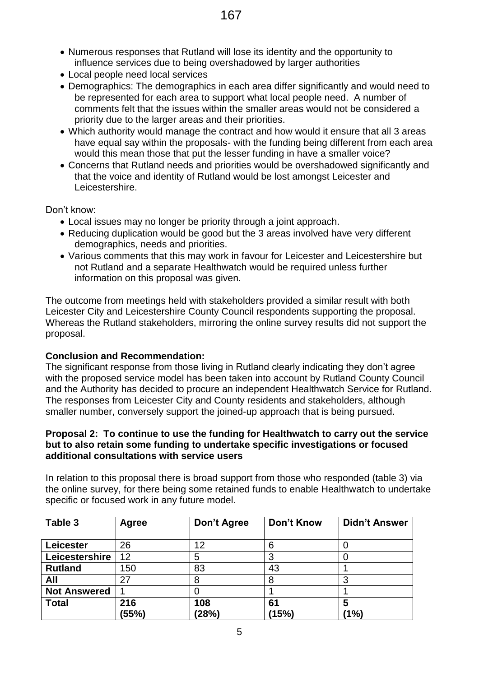- Numerous responses that Rutland will lose its identity and the opportunity to influence services due to being overshadowed by larger authorities
- Local people need local services
- Demographics: The demographics in each area differ significantly and would need to be represented for each area to support what local people need. A number of comments felt that the issues within the smaller areas would not be considered a priority due to the larger areas and their priorities.
- Which authority would manage the contract and how would it ensure that all 3 areas have equal say within the proposals- with the funding being different from each area would this mean those that put the lesser funding in have a smaller voice?
- Concerns that Rutland needs and priorities would be overshadowed significantly and that the voice and identity of Rutland would be lost amongst Leicester and Leicestershire.

Don't know:

- Local issues may no longer be priority through a joint approach.
- Reducing duplication would be good but the 3 areas involved have very different demographics, needs and priorities.
- Various comments that this may work in favour for Leicester and Leicestershire but not Rutland and a separate Healthwatch would be required unless further information on this proposal was given.

The outcome from meetings held with stakeholders provided a similar result with both Leicester City and Leicestershire County Council respondents supporting the proposal. Whereas the Rutland stakeholders, mirroring the online survey results did not support the proposal.

# **Conclusion and Recommendation:**

The significant response from those living in Rutland clearly indicating they don't agree with the proposed service model has been taken into account by Rutland County Council and the Authority has decided to procure an independent Healthwatch Service for Rutland. The responses from Leicester City and County residents and stakeholders, although smaller number, conversely support the joined-up approach that is being pursued.

#### **Proposal 2: To continue to use the funding for Healthwatch to carry out the service but to also retain some funding to undertake specific investigations or focused additional consultations with service users**

In relation to this proposal there is broad support from those who responded (table 3) via the online survey, for there being some retained funds to enable Healthwatch to undertake specific or focused work in any future model.

| Table 3             | Agree | Don't Agree | <b>Don't Know</b> | <b>Didn't Answer</b> |
|---------------------|-------|-------------|-------------------|----------------------|
|                     |       |             |                   |                      |
| <b>Leicester</b>    | 26    | 12          | 6                 |                      |
| Leicestershire      | 12    | b           |                   |                      |
| <b>Rutland</b>      | 150   | 83          | 43                |                      |
| All                 | 27    |             |                   |                      |
| <b>Not Answered</b> |       |             |                   |                      |
| <b>Total</b>        | 216   | 108         | 61                | 5                    |
|                     | (55%) | (28%)       | (15%)             | (1%)                 |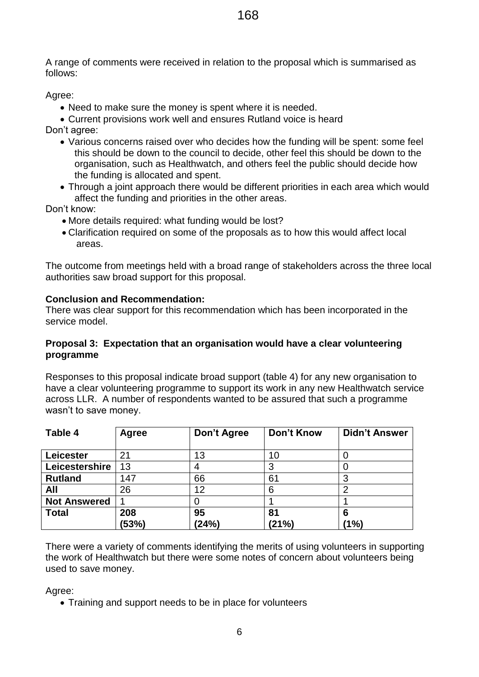168

A range of comments were received in relation to the proposal which is summarised as follows:

Agree:

• Need to make sure the money is spent where it is needed.

 Current provisions work well and ensures Rutland voice is heard Don't agree:

- Various concerns raised over who decides how the funding will be spent: some feel this should be down to the council to decide, other feel this should be down to the organisation, such as Healthwatch, and others feel the public should decide how the funding is allocated and spent.
- Through a joint approach there would be different priorities in each area which would affect the funding and priorities in the other areas.

Don't know:

- More details required: what funding would be lost?
- Clarification required on some of the proposals as to how this would affect local areas.

The outcome from meetings held with a broad range of stakeholders across the three local authorities saw broad support for this proposal.

# **Conclusion and Recommendation:**

There was clear support for this recommendation which has been incorporated in the service model.

### **Proposal 3: Expectation that an organisation would have a clear volunteering programme**

Responses to this proposal indicate broad support (table 4) for any new organisation to have a clear volunteering programme to support its work in any new Healthwatch service across LLR. A number of respondents wanted to be assured that such a programme wasn't to save money.

| Table 4             | Agree        | Don't Agree | Don't Know  | <b>Didn't Answer</b> |
|---------------------|--------------|-------------|-------------|----------------------|
| Leicester           | 21           | 13          | 10          |                      |
| Leicestershire      | 13           |             |             |                      |
| <b>Rutland</b>      | 147          | 66          | 61          |                      |
| All                 | 26           | 12          | 6           |                      |
| <b>Not Answered</b> |              |             |             |                      |
| <b>Total</b>        | 208<br>(53%) | 95<br>(24%) | 81<br>(21%) | 6<br>(1%)            |

There were a variety of comments identifying the merits of using volunteers in supporting the work of Healthwatch but there were some notes of concern about volunteers being used to save money.

Agree:

• Training and support needs to be in place for volunteers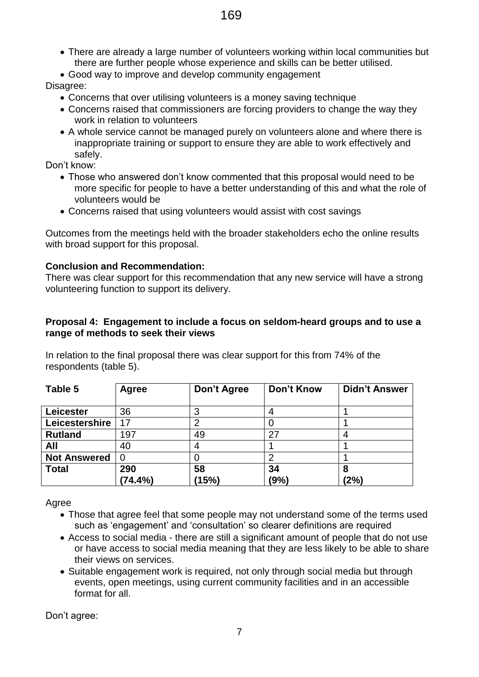- There are already a large number of volunteers working within local communities but there are further people whose experience and skills can be better utilised.
- Good way to improve and develop community engagement

# Disagree:

- Concerns that over utilising volunteers is a money saving technique
- Concerns raised that commissioners are forcing providers to change the way they work in relation to volunteers
- A whole service cannot be managed purely on volunteers alone and where there is inappropriate training or support to ensure they are able to work effectively and safely.

Don't know:

- Those who answered don't know commented that this proposal would need to be more specific for people to have a better understanding of this and what the role of volunteers would be
- Concerns raised that using volunteers would assist with cost savings

Outcomes from the meetings held with the broader stakeholders echo the online results with broad support for this proposal.

# **Conclusion and Recommendation:**

There was clear support for this recommendation that any new service will have a strong volunteering function to support its delivery.

#### **Proposal 4: Engagement to include a focus on seldom-heard groups and to use a range of methods to seek their views**

In relation to the final proposal there was clear support for this from 74% of the respondents (table 5).

| Table 5             | Agree   | Don't Agree | <b>Don't Know</b> | <b>Didn't Answer</b> |
|---------------------|---------|-------------|-------------------|----------------------|
|                     |         |             |                   |                      |
| Leicester           | 36      |             |                   |                      |
| Leicestershire      | 17      |             |                   |                      |
| <b>Rutland</b>      | 197     | 49          | 27                |                      |
| All                 | 40      |             |                   |                      |
| <b>Not Answered</b> | 0       |             |                   |                      |
| <b>Total</b>        | 290     | 58          | 34                | 8                    |
|                     | (74.4%) | (15%)       | (9%               | (2%)                 |

Agree

- Those that agree feel that some people may not understand some of the terms used such as 'engagement' and 'consultation' so clearer definitions are required
- Access to social media there are still a significant amount of people that do not use or have access to social media meaning that they are less likely to be able to share their views on services.
- Suitable engagement work is required, not only through social media but through events, open meetings, using current community facilities and in an accessible format for all.

Don't agree: